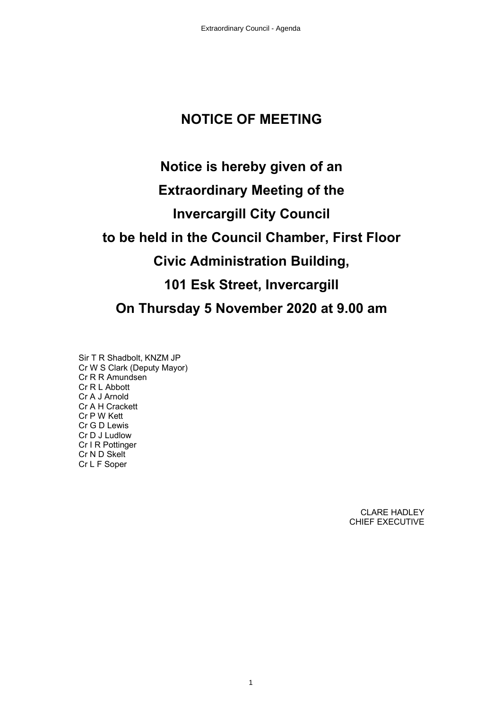# **NOTICE OF MEETING**

# **Notice is hereby given of an Extraordinary Meeting of the Invercargill City Council to be held in the Council Chamber, First Floor Civic Administration Building, 101 Esk Street, Invercargill On Thursday 5 November 2020 at 9.00 am**

Sir T R Shadbolt, KNZM JP Cr W S Clark (Deputy Mayor) Cr R R Amundsen Cr R L Abbott Cr A J Arnold Cr A H Crackett Cr P W Kett Cr G D Lewis Cr D J Ludlow Cr I R Pottinger Cr N D Skelt Cr L F Soper

> CLARE HADLEY CHIEF EXECUTIVE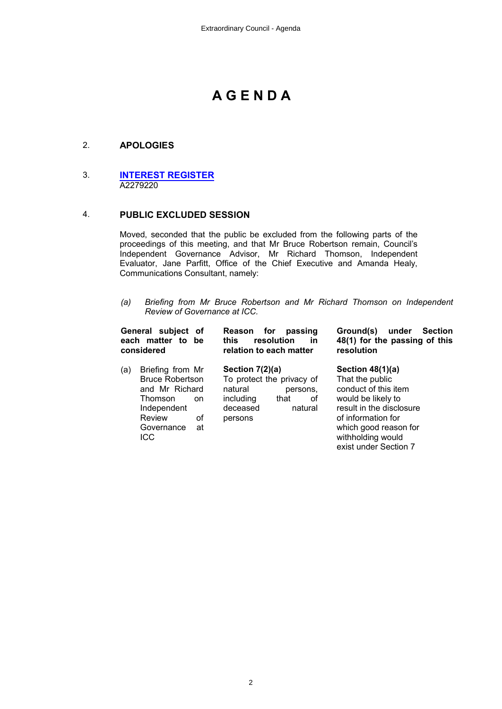# **A G E N D A**

# 2. **APOLOGIES**

#### 3. **[INTEREST REGISTER](#page-2-0)** A2279220

#### 4. **PUBLIC EXCLUDED SESSION**

Moved, seconded that the public be excluded from the following parts of the proceedings of this meeting, and that Mr Bruce Robertson remain, Council's Independent Governance Advisor, Mr Richard Thomson, Independent Evaluator, Jane Parfitt, Office of the Chief Executive and Amanda Healy, Communications Consultant, namely:

*(a) Briefing from Mr Bruce Robertson and Mr Richard Thomson on Independent Review of Governance at ICC.* 

| General subject of<br>each matter to be<br>considered |                                                                                                                                          | for<br><b>Reason</b><br>passing<br>resolution<br>this.<br>in<br>relation to each matter |                                                                | Ground(s)<br>under<br><b>Section</b><br>48(1) for the passing of this<br>resolution                                                                                                                          |  |
|-------------------------------------------------------|------------------------------------------------------------------------------------------------------------------------------------------|-----------------------------------------------------------------------------------------|----------------------------------------------------------------|--------------------------------------------------------------------------------------------------------------------------------------------------------------------------------------------------------------|--|
| (a)                                                   | Briefing from Mr<br><b>Bruce Robertson</b><br>and Mr Richard<br>Thomson<br>on<br>Independent<br>Review<br>οf<br>Governance<br>at<br>ICC. | Section $7(2)(a)$<br>natural<br>including<br>deceased<br>persons                        | To protect the privacy of<br>persons.<br>οf<br>that<br>natural | Section $48(1)(a)$<br>That the public<br>conduct of this item<br>would be likely to<br>result in the disclosure<br>of information for<br>which good reason for<br>withholding would<br>exist under Section 7 |  |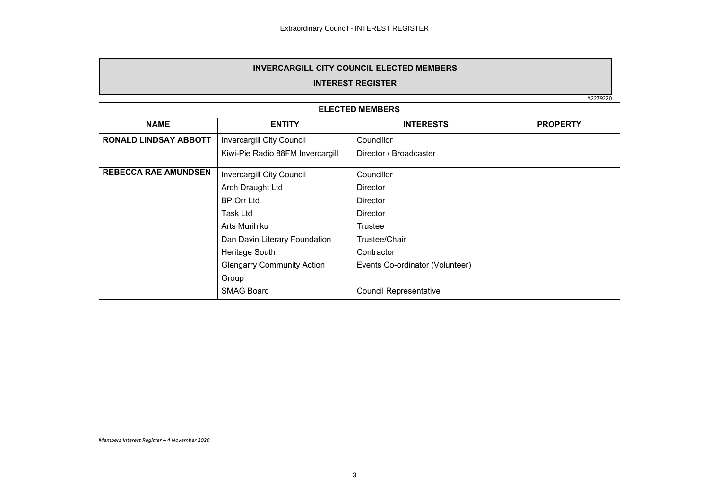#### **INVERCARGILL CITY COUNCIL ELECTED MEMBERS**

## **INTEREST REGISTER**

A2279220

<span id="page-2-0"></span>

| <b>ELECTED MEMBERS</b>       |                                   |                                 |                 |  |
|------------------------------|-----------------------------------|---------------------------------|-----------------|--|
| <b>NAME</b>                  | <b>ENTITY</b>                     | <b>INTERESTS</b>                | <b>PROPERTY</b> |  |
| <b>RONALD LINDSAY ABBOTT</b> | Invercargill City Council         | Councillor                      |                 |  |
|                              | Kiwi-Pie Radio 88FM Invercargill  | Director / Broadcaster          |                 |  |
| <b>REBECCA RAE AMUNDSEN</b>  | <b>Invercargill City Council</b>  | Councillor                      |                 |  |
|                              | Arch Draught Ltd                  | <b>Director</b>                 |                 |  |
|                              | <b>BP Orr Ltd</b>                 | <b>Director</b>                 |                 |  |
|                              | Task Ltd                          | Director                        |                 |  |
|                              | Arts Murihiku                     | Trustee                         |                 |  |
|                              | Dan Davin Literary Foundation     | Trustee/Chair                   |                 |  |
|                              | Heritage South                    | Contractor                      |                 |  |
|                              | <b>Glengarry Community Action</b> | Events Co-ordinator (Volunteer) |                 |  |
|                              | Group                             |                                 |                 |  |
|                              | <b>SMAG Board</b>                 | <b>Council Representative</b>   |                 |  |

*Members Interest Register – 4 November 2020*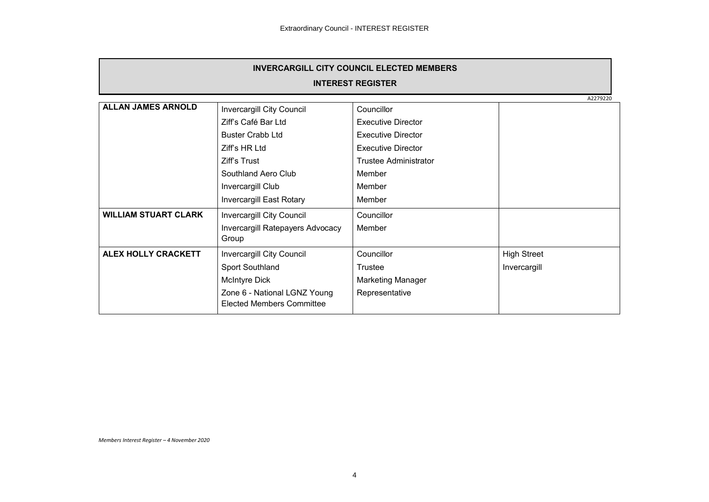| <b>INVERCARGILL CITY COUNCIL ELECTED MEMBERS</b> |                                           |                           |                    |  |  |
|--------------------------------------------------|-------------------------------------------|---------------------------|--------------------|--|--|
| <b>INTEREST REGISTER</b>                         |                                           |                           |                    |  |  |
|                                                  | A2279220                                  |                           |                    |  |  |
| <b>ALLAN JAMES ARNOLD</b>                        | Invercargill City Council                 | Councillor                |                    |  |  |
|                                                  | Ziff's Café Bar Ltd                       | <b>Executive Director</b> |                    |  |  |
|                                                  | <b>Buster Crabb Ltd</b>                   | <b>Executive Director</b> |                    |  |  |
|                                                  | Ziff's HR Ltd                             | <b>Executive Director</b> |                    |  |  |
|                                                  | Ziff's Trust                              | Trustee Administrator     |                    |  |  |
|                                                  | Southland Aero Club                       | Member                    |                    |  |  |
|                                                  | Invercargill Club                         | Member                    |                    |  |  |
|                                                  | <b>Invercargill East Rotary</b>           | Member                    |                    |  |  |
| <b>WILLIAM STUART CLARK</b>                      | Invercargill City Council                 | Councillor                |                    |  |  |
|                                                  | Invercargill Ratepayers Advocacy<br>Group | Member                    |                    |  |  |
| ALEX HOLLY CRACKETT                              |                                           | Councillor                | <b>High Street</b> |  |  |
|                                                  | Invercargill City Council                 |                           |                    |  |  |
|                                                  | Sport Southland                           | Trustee                   | Invercargill       |  |  |
|                                                  | McIntyre Dick                             | <b>Marketing Manager</b>  |                    |  |  |
|                                                  | Zone 6 - National LGNZ Young              | Representative            |                    |  |  |
|                                                  | Elected Members Committee                 |                           |                    |  |  |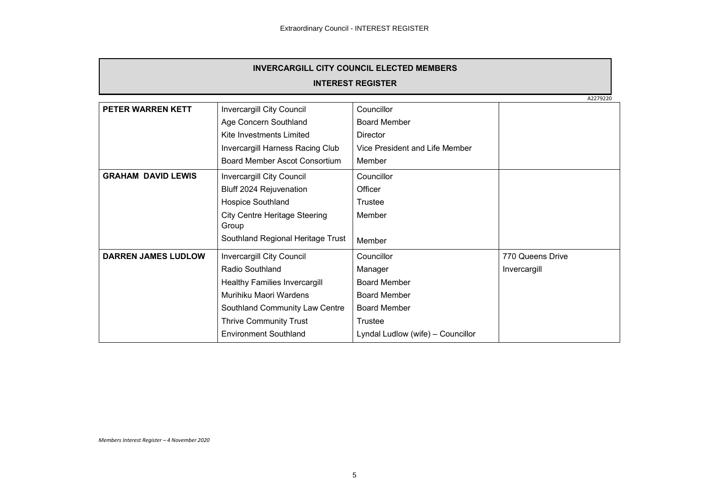| <b>INVERCARGILL CITY COUNCIL ELECTED MEMBERS</b> |                                      |                                   |                  |  |  |
|--------------------------------------------------|--------------------------------------|-----------------------------------|------------------|--|--|
| <b>INTEREST REGISTER</b>                         |                                      |                                   |                  |  |  |
|                                                  | A2279220                             |                                   |                  |  |  |
| PETER WARREN KETT                                | Invercargill City Council            | Councillor                        |                  |  |  |
|                                                  | Age Concern Southland                | <b>Board Member</b>               |                  |  |  |
|                                                  | Kite Investments Limited             | <b>Director</b>                   |                  |  |  |
|                                                  | Invercargill Harness Racing Club     | Vice President and Life Member    |                  |  |  |
|                                                  | <b>Board Member Ascot Consortium</b> | Member                            |                  |  |  |
| <b>GRAHAM DAVID LEWIS</b>                        | Invercargill City Council            | Councillor                        |                  |  |  |
|                                                  | Bluff 2024 Rejuvenation              | Officer                           |                  |  |  |
|                                                  | Hospice Southland                    | Trustee                           |                  |  |  |
|                                                  | <b>City Centre Heritage Steering</b> | Member                            |                  |  |  |
|                                                  | Group                                |                                   |                  |  |  |
|                                                  | Southland Regional Heritage Trust    | Member                            |                  |  |  |
| <b>DARREN JAMES LUDLOW</b>                       | Invercargill City Council            | Councillor                        | 770 Queens Drive |  |  |
|                                                  | Radio Southland                      | Manager                           | Invercargill     |  |  |
|                                                  | Healthy Families Invercargill        | <b>Board Member</b>               |                  |  |  |
|                                                  | Murihiku Maori Wardens               | <b>Board Member</b>               |                  |  |  |
|                                                  | Southland Community Law Centre       | <b>Board Member</b>               |                  |  |  |
|                                                  | <b>Thrive Community Trust</b>        | Trustee                           |                  |  |  |
|                                                  | <b>Environment Southland</b>         | Lyndal Ludlow (wife) - Councillor |                  |  |  |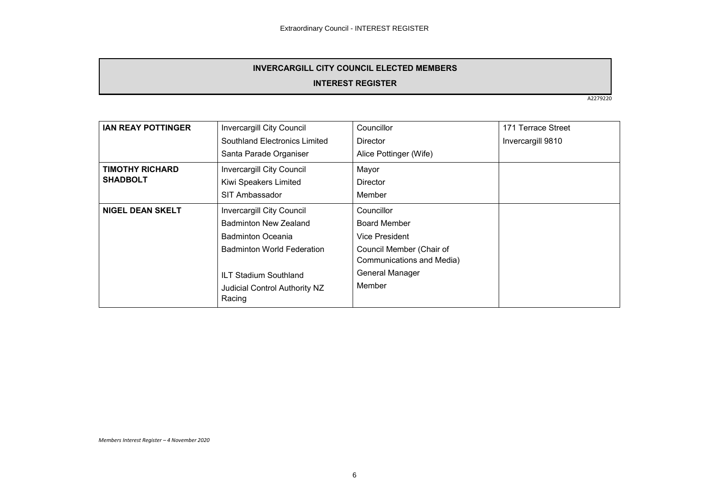# **INVERCARGILL CITY COUNCIL ELECTED MEMBERS**

## **INTEREST REGISTER**

A2279220

| <b>IAN REAY POTTINGER</b> | Invercargill City Council         | Councillor                | 171 Terrace Street |
|---------------------------|-----------------------------------|---------------------------|--------------------|
|                           | Southland Electronics Limited     | <b>Director</b>           | Invercargill 9810  |
|                           | Santa Parade Organiser            | Alice Pottinger (Wife)    |                    |
| <b>TIMOTHY RICHARD</b>    | <b>Invercargill City Council</b>  | Mayor                     |                    |
| <b>SHADBOLT</b>           | Kiwi Speakers Limited             | <b>Director</b>           |                    |
|                           | SIT Ambassador                    | Member                    |                    |
| <b>NIGEL DEAN SKELT</b>   | Invercargill City Council         | Councillor                |                    |
|                           | Badminton New Zealand             | Board Member              |                    |
|                           | <b>Badminton Oceania</b>          | Vice President            |                    |
|                           | <b>Badminton World Federation</b> | Council Member (Chair of  |                    |
|                           |                                   | Communications and Media) |                    |
|                           | <b>ILT Stadium Southland</b>      | General Manager           |                    |
|                           | Judicial Control Authority NZ     | Member                    |                    |
|                           | Racing                            |                           |                    |
|                           |                                   |                           |                    |

*Members Interest Register – 4 November 2020*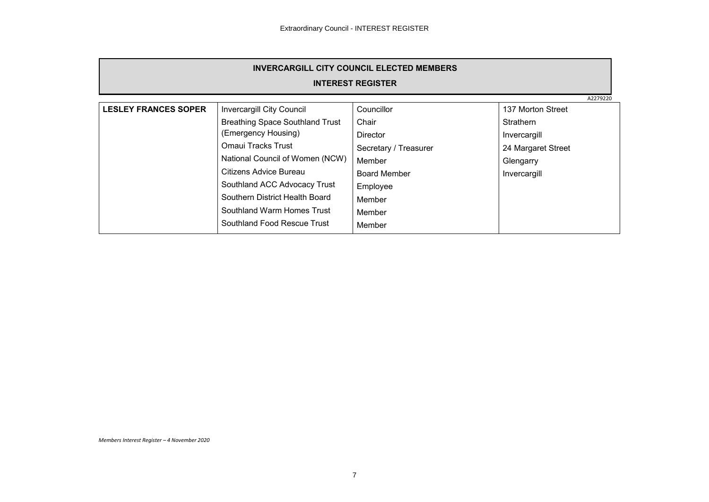| <b>INVERCARGILL CITY COUNCIL ELECTED MEMBERS</b> |                                        |                       |                    |  |  |  |
|--------------------------------------------------|----------------------------------------|-----------------------|--------------------|--|--|--|
| <b>INTEREST REGISTER</b>                         |                                        |                       |                    |  |  |  |
|                                                  | A2279220                               |                       |                    |  |  |  |
| <b>LESLEY FRANCES SOPER</b>                      | Invercargill City Council              | Councillor            | 137 Morton Street  |  |  |  |
|                                                  | <b>Breathing Space Southland Trust</b> | Chair                 | <b>Strathern</b>   |  |  |  |
|                                                  | (Emergency Housing)                    | <b>Director</b>       | Invercargill       |  |  |  |
|                                                  | Omaui Tracks Trust                     | Secretary / Treasurer | 24 Margaret Street |  |  |  |
|                                                  | National Council of Women (NCW)        | Member                | Glengarry          |  |  |  |
|                                                  | Citizens Advice Bureau                 | Board Member          | Invercargill       |  |  |  |
|                                                  | Southland ACC Advocacy Trust           | Employee              |                    |  |  |  |
|                                                  | Southern District Health Board         | Member                |                    |  |  |  |
|                                                  | Southland Warm Homes Trust             | Member                |                    |  |  |  |
|                                                  | Southland Food Rescue Trust            | Member                |                    |  |  |  |